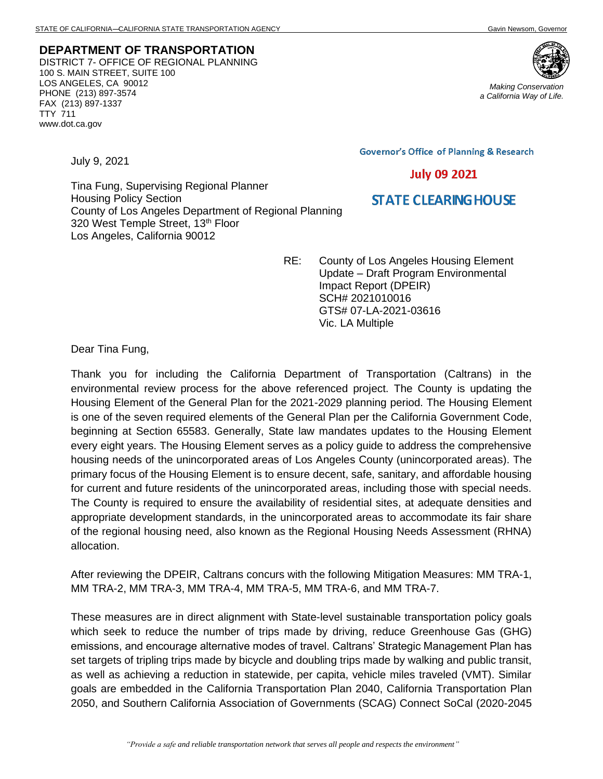**DEPARTMENT OF TRANSPORTATION** DISTRICT 7- OFFICE OF REGIONAL PLANNING 100 S. MAIN STREET, SUITE 100 LOS ANGELES, CA 90012 PHONE (213) 897-3574 FAX (213) 897-1337 TTY 711 www.dot.ca.gov

*Making Conservation a California Way of Life.*

**Governor's Office of Planning & Research** 

**July 09 2021** 

## **STATE CLEARING HOUSE**

Tina Fung, Supervising Regional Planner Housing Policy Section County of Los Angeles Department of Regional Planning 320 West Temple Street, 13<sup>th</sup> Floor Los Angeles, California 90012

> RE: County of Los Angeles Housing Element Update – Draft Program Environmental Impact Report (DPEIR) SCH# 2021010016 GTS# 07-LA-2021-03616 Vic. LA Multiple

Dear Tina Fung,

July 9, 2021

Thank you for including the California Department of Transportation (Caltrans) in the environmental review process for the above referenced project. The County is updating the Housing Element of the General Plan for the 2021-2029 planning period. The Housing Element is one of the seven required elements of the General Plan per the California Government Code, beginning at Section 65583. Generally, State law mandates updates to the Housing Element every eight years. The Housing Element serves as a policy guide to address the comprehensive housing needs of the unincorporated areas of Los Angeles County (unincorporated areas). The primary focus of the Housing Element is to ensure decent, safe, sanitary, and affordable housing for current and future residents of the unincorporated areas, including those with special needs. The County is required to ensure the availability of residential sites, at adequate densities and appropriate development standards, in the unincorporated areas to accommodate its fair share of the regional housing need, also known as the Regional Housing Needs Assessment (RHNA) allocation.

After reviewing the DPEIR, Caltrans concurs with the following Mitigation Measures: MM TRA-1, MM TRA-2, MM TRA-3, MM TRA-4, MM TRA-5, MM TRA-6, and MM TRA-7.

These measures are in direct alignment with State-level sustainable transportation policy goals which seek to reduce the number of trips made by driving, reduce Greenhouse Gas (GHG) emissions, and encourage alternative modes of travel. Caltrans' Strategic Management Plan has set targets of tripling trips made by bicycle and doubling trips made by walking and public transit, as well as achieving a reduction in statewide, per capita, vehicle miles traveled (VMT). Similar goals are embedded in the California Transportation Plan 2040, California Transportation Plan 2050, and Southern California Association of Governments (SCAG) Connect SoCal (2020-2045